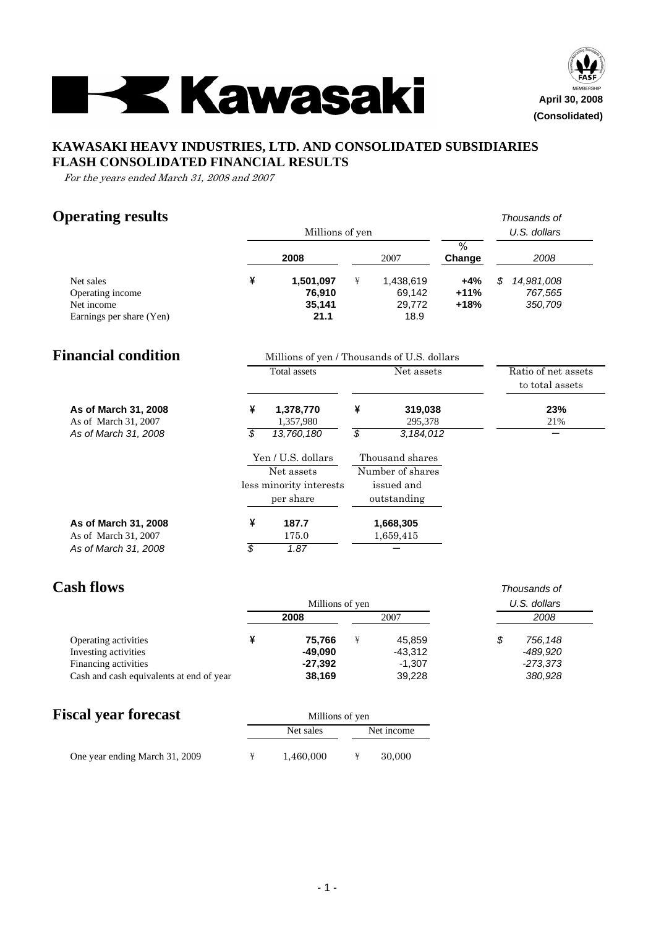



## **KAWASAKI HEAVY INDUSTRIES, LTD. AND CONSOLIDATED SUBSIDIARIES FLASH CONSOLIDATED FINANCIAL RESULTS**

For the years ended March 31, 2008 and 2007

# **Operating results** *Thousands of*

|                                                                         | Millions of yen<br>%<br>2008<br>2007<br>¥<br>1,501,097<br>¥<br>1,438,619<br>76,910<br>69,142<br>35,141<br>29,772<br>21.1<br>18.9 |                                             | U.S. dollars |                                     |                         |                                        |
|-------------------------------------------------------------------------|----------------------------------------------------------------------------------------------------------------------------------|---------------------------------------------|--------------|-------------------------------------|-------------------------|----------------------------------------|
|                                                                         |                                                                                                                                  |                                             |              | Change                              | 2008                    |                                        |
| Net sales<br>Operating income<br>Net income<br>Earnings per share (Yen) |                                                                                                                                  |                                             |              |                                     | +4%<br>$+11%$<br>$+18%$ | \$<br>14,981,008<br>767,565<br>350,709 |
| <b>Financial condition</b>                                              |                                                                                                                                  | Millions of yen / Thousands of U.S. dollars |              |                                     |                         |                                        |
|                                                                         |                                                                                                                                  | <b>Total</b> assets                         |              | Net assets                          |                         | Ratio of net assets<br>to total assets |
| As of March 31, 2008<br>As of March 31, 2007                            | ¥                                                                                                                                | 1,378,770<br>1,357,980                      | ¥            | 319,038<br>295.378                  |                         | 23%<br>21%                             |
| As of March 31, 2008                                                    | \$                                                                                                                               | 13,760,180                                  | \$           | 3,184,012                           |                         | —                                      |
|                                                                         |                                                                                                                                  | Yen / U.S. dollars<br>Net assets            |              | Thousand shares<br>Number of shares |                         |                                        |
|                                                                         |                                                                                                                                  | less minority interests<br>per share        |              | issued and<br>outstanding           |                         |                                        |
| As of March 31, 2008<br>As of March 31, 2007                            | ¥                                                                                                                                | 187.7<br>175.0                              |              | 1,668,305<br>1,659,415              |                         |                                        |
| As of March 31, 2008                                                    | \$                                                                                                                               | 1.87                                        |              |                                     |                         |                                        |

# **Cash flows** *Thousands of*

|                                          | Millions of yen |           | U.S. dollars |  |
|------------------------------------------|-----------------|-----------|--------------|--|
|                                          | 2008            | 2007      | 2008         |  |
| Operating activities                     | 75.766          | 45.859    | 756.148      |  |
| Investing activities                     | -49.090         | $-43,312$ | -489.920     |  |
| Financing activities                     | $-27,392$       | $-1.307$  | -273,373     |  |
| Cash and cash equivalents at end of year | 38,169          | 39,228    | 380,928      |  |

## **Fiscal year forecast** Millions of yen

| $100$ $\mu$ $\mu$ $\mu$ $\mu$ $\sigma$ $\sigma$ $\sigma$ | THIRD OF THE |            |  |
|----------------------------------------------------------|--------------|------------|--|
|                                                          | Net sales    | Net income |  |
| One year ending March 31, 2009                           | 1.460.000    | 30,000     |  |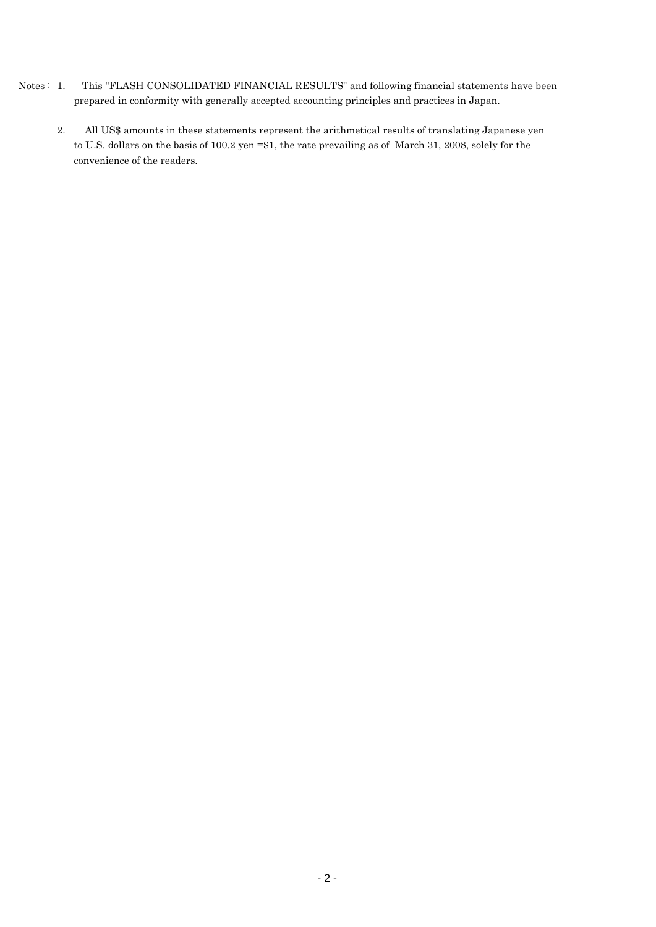- Notes : 1. This "FLASH CONSOLIDATED FINANCIAL RESULTS" and following financial statements have been prepared in conformity with generally accepted accounting principles and practices in Japan.
	- 2. All US\$ amounts in these statements represent the arithmetical results of translating Japanese yen to U.S. dollars on the basis of 100.2 yen =\$1, the rate prevailing as of March 31, 2008, solely for the convenience of the readers.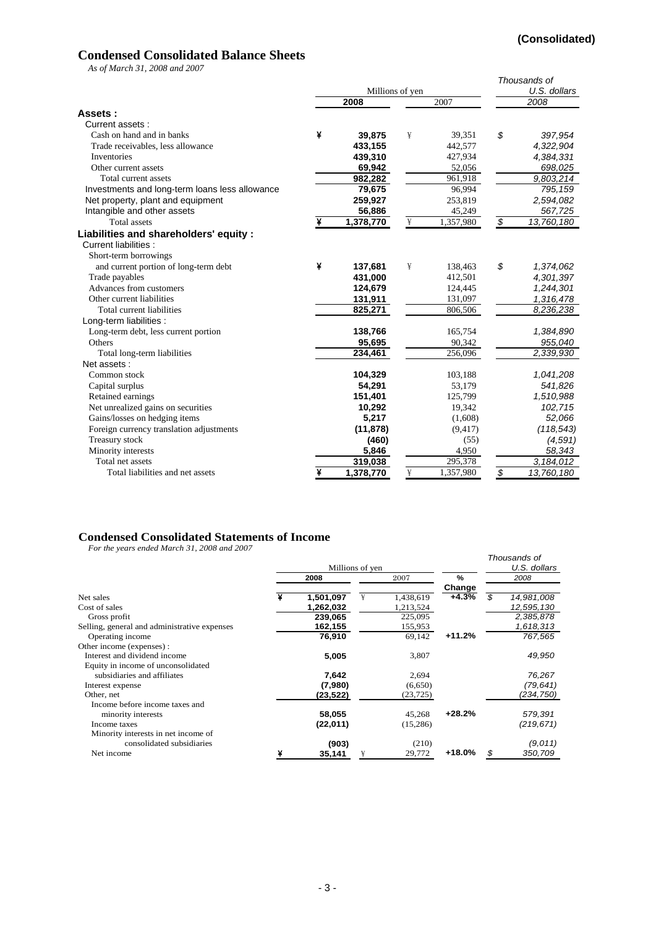## **Condensed Consolidated Balance Sheets**

*As of March 31, 2008 and 2007*

|                                                |   |                 |   |           | Thousands of       |
|------------------------------------------------|---|-----------------|---|-----------|--------------------|
|                                                |   | Millions of yen |   |           | U.S. dollars       |
|                                                |   | 2008            |   | 2007      | 2008               |
| Assets:                                        |   |                 |   |           |                    |
| Current assets:                                |   |                 |   |           |                    |
| Cash on hand and in banks                      | ¥ | 39,875          | ¥ | 39,351    | \$<br>397,954      |
| Trade receivables, less allowance              |   | 433,155         |   | 442,577   | 4,322,904          |
| Inventories                                    |   | 439,310         |   | 427,934   | 4,384,331          |
| Other current assets                           |   | 69,942          |   | 52,056    | 698,025            |
| Total current assets                           |   | 982,282         |   | 961,918   | 9,803,214          |
| Investments and long-term loans less allowance |   | 79,675          |   | 96,994    | 795, 159           |
| Net property, plant and equipment              |   | 259,927         |   | 253,819   | 2,594,082          |
| Intangible and other assets                    |   | 56,886          |   | 45,249    | 567,725            |
| <b>Total</b> assets                            |   | 1,378,770       | ¥ | 1,357,980 | \$<br>13,760,180   |
| Liabilities and shareholders' equity :         |   |                 |   |           |                    |
| <b>Current liabilities:</b>                    |   |                 |   |           |                    |
| Short-term borrowings                          |   |                 |   |           |                    |
| and current portion of long-term debt          | ¥ | 137,681         | ¥ | 138,463   | \$<br>1,374,062    |
| Trade payables                                 |   | 431,000         |   | 412,501   | 4,301,397          |
| Advances from customers                        |   | 124,679         |   | 124,445   | 1,244,301          |
| Other current liabilities                      |   | 131,911         |   | 131,097   | 1,316,478          |
| Total current liabilities                      |   | 825,271         |   | 806,506   | 8,236,238          |
| Long-term liabilities :                        |   |                 |   |           |                    |
| Long-term debt, less current portion           |   | 138,766         |   | 165,754   | 1,384,890          |
| Others                                         |   | 95,695          |   | 90,342    | 955,040            |
| Total long-term liabilities                    |   | 234,461         |   | 256,096   | 2,339,930          |
| Net assets:                                    |   |                 |   |           |                    |
| Common stock                                   |   | 104,329         |   | 103,188   | 1,041,208          |
| Capital surplus                                |   | 54,291          |   | 53,179    | 541,826            |
| Retained earnings                              |   | 151,401         |   | 125,799   | 1,510,988          |
| Net unrealized gains on securities             |   | 10,292          |   | 19,342    | 102,715            |
| Gains/losses on hedging items                  |   | 5,217           |   | (1,608)   | 52,066             |
| Foreign currency translation adjustments       |   | (11, 878)       |   | (9, 417)  | (118, 543)         |
| Treasury stock                                 |   | (460)           |   | (55)      | (4,591)            |
| Minority interests                             |   | 5,846           |   | 4,950     | 58,343             |
| Total net assets                               |   | 319,038         |   | 295,378   | $\sqrt{3,184,012}$ |
| Total liabilities and net assets               | ¥ | 1,378,770       | ¥ | 1,357,980 | \$<br>13,760,180   |

### **Condensed Consolidated Statements of Income**

*For the years ended March 31, 2008 and 2007*

| 1 01 me vears enaca march 91, 2000 and 2007  | Millions of yen |   |           |          |     | Thousands of<br>U.S. dollars |
|----------------------------------------------|-----------------|---|-----------|----------|-----|------------------------------|
|                                              | 2008            |   | 2007      | $\%$     |     | 2008                         |
|                                              |                 |   |           | Change   |     |                              |
| Net sales                                    | 1,501,097       | ¥ | 1,438,619 | $+4.3%$  | \$. | 14,981,008                   |
| Cost of sales                                | 1,262,032       |   | 1,213,524 |          |     | 12,595,130                   |
| Gross profit                                 | 239,065         |   | 225,095   |          |     | 2,385,878                    |
| Selling, general and administrative expenses | 162,155         |   | 155,953   |          |     | 1,618,313                    |
| Operating income                             | 76,910          |   | 69,142    | $+11.2%$ |     | 767,565                      |
| Other income (expenses):                     |                 |   |           |          |     |                              |
| Interest and dividend income                 | 5,005           |   | 3,807     |          |     | 49,950                       |
| Equity in income of unconsolidated           |                 |   |           |          |     |                              |
| subsidiaries and affiliates                  | 7,642           |   | 2,694     |          |     | 76,267                       |
| Interest expense                             | (7,980)         |   | (6,650)   |          |     | (79, 641)                    |
| Other, net                                   | (23,522)        |   | (23, 725) |          |     | (234,750)                    |
| Income before income taxes and               |                 |   |           |          |     |                              |
| minority interests                           | 58,055          |   | 45,268    | $+28.2%$ |     | 579,391                      |
| Income taxes                                 | (22,011)        |   | (15,286)  |          |     | (219, 671)                   |
| Minority interests in net income of          |                 |   |           |          |     |                              |
| consolidated subsidiaries                    | (903)           |   | (210)     |          |     | (9,011)                      |
| Net income                                   | 35,141          |   | 29,772    | $+18.0%$ | \$  | 350,709                      |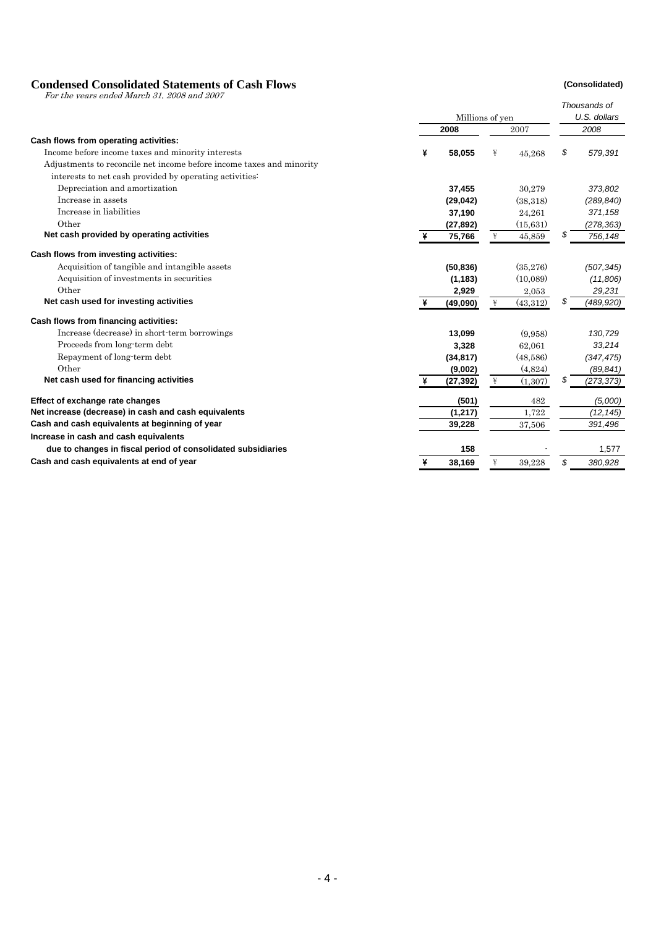### **Condensed Consolidated Statements of Cash Flows (Consolidated)**

For the years ended March 31, 2008 and 2007

|                                                                      |   |                 |   |           | Thousands of  |
|----------------------------------------------------------------------|---|-----------------|---|-----------|---------------|
|                                                                      |   | Millions of yen |   |           | U.S. dollars  |
|                                                                      |   | 2008            |   | 2007      | 2008          |
| Cash flows from operating activities:                                |   |                 |   |           |               |
| Income before income taxes and minority interests                    | ¥ | 58,055          | ¥ | 45,268    | \$<br>579,391 |
| Adjustments to reconcile net income before income taxes and minority |   |                 |   |           |               |
| interests to net cash provided by operating activities:              |   |                 |   |           |               |
| Depreciation and amortization                                        |   | 37,455          |   | 30,279    | 373,802       |
| Increase in assets                                                   |   | (29, 042)       |   | (38,318)  | (289, 840)    |
| Increase in liabilities                                              |   | 37,190          |   | 24,261    | 371,158       |
| Other                                                                |   | (27, 892)       |   | (15, 631) | (278, 363)    |
| Net cash provided by operating activities                            |   | 75,766          | ¥ | 45,859    | 756,148       |
| Cash flows from investing activities:                                |   |                 |   |           |               |
| Acquisition of tangible and intangible assets                        |   | (50, 836)       |   | (35,276)  | (507, 345)    |
| Acquisition of investments in securities                             |   | (1, 183)        |   | (10,089)  | (11,806)      |
| Other                                                                |   | 2,929           |   | 2,053     | 29,231        |
| Net cash used for investing activities                               |   | (49,090)        | ¥ | (43,312)  | (489,920)     |
| Cash flows from financing activities:                                |   |                 |   |           |               |
| Increase (decrease) in short-term borrowings                         |   | 13,099          |   | (9.958)   | 130,729       |
| Proceeds from long-term debt                                         |   | 3,328           |   | 62,061    | 33,214        |
| Repayment of long-term debt                                          |   | (34, 817)       |   | (48,586)  | (347, 475)    |
| Other                                                                |   | (9,002)         |   | (4,824)   | (89, 841)     |
| Net cash used for financing activities                               |   | (27,392)        | ¥ | (1,307)   | (273, 373)    |
| Effect of exchange rate changes                                      |   | (501)           |   | 482       | (5,000)       |
| Net increase (decrease) in cash and cash equivalents                 |   | (1, 217)        |   | 1,722     | (12, 145)     |
| Cash and cash equivalents at beginning of year                       |   | 39,228          |   | 37,506    | 391,496       |
| Increase in cash and cash equivalents                                |   |                 |   |           |               |
| due to changes in fiscal period of consolidated subsidiaries         |   | 158             |   |           | 1,577         |
| Cash and cash equivalents at end of year                             | ¥ | 38,169          | ¥ | 39,228    | \$<br>380,928 |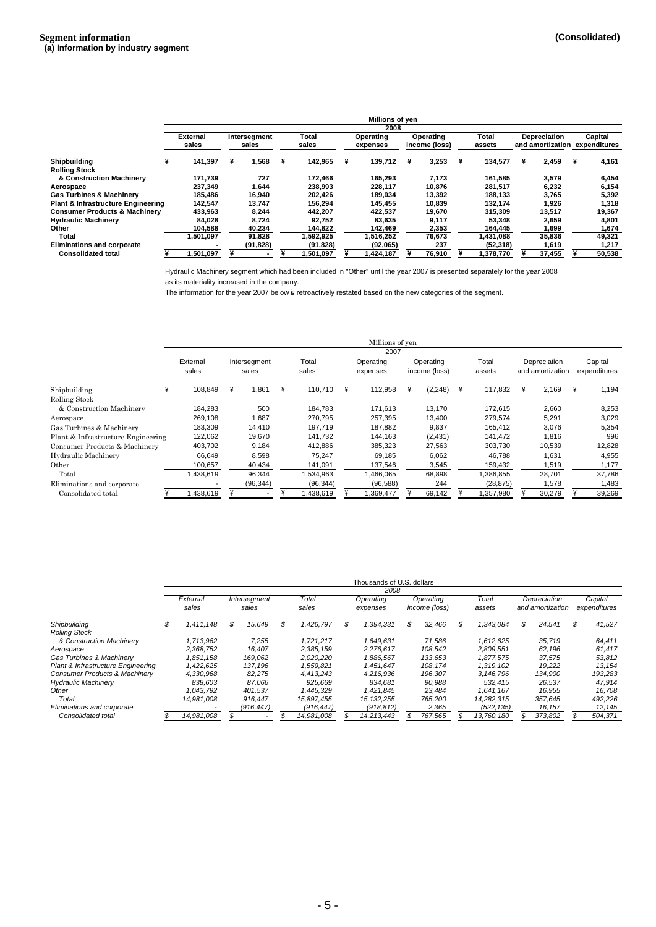|                                               |                 |              |   |           |   | Millions of yen |   |               |   |           |   |                     |   |              |
|-----------------------------------------------|-----------------|--------------|---|-----------|---|-----------------|---|---------------|---|-----------|---|---------------------|---|--------------|
|                                               |                 |              |   |           |   | 2008            |   |               |   |           |   |                     |   |              |
|                                               | <b>External</b> | Intersegment |   | Total     |   | Operating       |   | Operating     |   | Total     |   | <b>Depreciation</b> |   | Capital      |
|                                               | sales           | sales        |   | sales     |   | expenses        |   | income (loss) |   | assets    |   | and amortization    |   | expenditures |
| <b>Shipbuilding</b>                           | 141.397         | 1.568        | ¥ | 142.965   | ¥ | 139.712         | ¥ | 3,253         | ¥ | 134.577   | ¥ | 2.459               | ¥ | 4,161        |
| <b>Rolling Stock</b>                          |                 |              |   |           |   |                 |   |               |   |           |   |                     |   |              |
| & Construction Machinery                      | 171.739         | 727          |   | 172.466   |   | 165.293         |   | 7,173         |   | 161.585   |   | 3,579               |   | 6,454        |
| Aerospace                                     | 237,349         | 1,644        |   | 238.993   |   | 228,117         |   | 10,876        |   | 281,517   |   | 6,232               |   | 6,154        |
| <b>Gas Turbines &amp; Machinerv</b>           | 185.486         | 16.940       |   | 202.426   |   | 189.034         |   | 13,392        |   | 188.133   |   | 3,765               |   | 5,392        |
| <b>Plant &amp; Infrastructure Engineering</b> | 142,547         | 13.747       |   | 156.294   |   | 145.455         |   | 10,839        |   | 132.174   |   | 1,926               |   | 1,318        |
| <b>Consumer Products &amp; Machinerv</b>      | 433,963         | 8,244        |   | 442.207   |   | 422.537         |   | 19,670        |   | 315.309   |   | 13,517              |   | 19,367       |
| <b>Hydraulic Machinery</b>                    | 84,028          | 8,724        |   | 92.752    |   | 83.635          |   | 9,117         |   | 53,348    |   | 2,659               |   | 4,801        |
| Other                                         | 104,588         | 40,234       |   | 144,822   |   | 142.469         |   | 2,353         |   | 164,445   |   | 1,699               |   | 1,674        |
| Total                                         | 1,501,097       | 91,828       |   | 1,592,925 |   | .516.252        |   | 76,673        |   | 1.431.088 |   | 35,836              |   | 49,321       |
| <b>Eliminations and corporate</b>             |                 | (91, 828)    |   | (91, 828) |   | (92,065)        |   | 237           |   | (52, 318) |   | 1,619               |   | 1,217        |
| <b>Consolidated total</b>                     | 1,501,097       |              |   | 501,097,ا |   | 424,187         |   | 76,910        |   | ,378,770  |   | 37,455              |   | 50,538       |

Hydraulic Machinery segment which had been included in ''Other'' until the year 2007 is presented separately for the year 2008 as its materiality increased in the company.

The information for the year 2007 below is retroactively restated based on the new categories of the segment.

|                                    |   |                   |              |           |                       |           |                | Millions of yen |                               |                            |           |                 |                                  |   |        |                         |
|------------------------------------|---|-------------------|--------------|-----------|-----------------------|-----------|----------------|-----------------|-------------------------------|----------------------------|-----------|-----------------|----------------------------------|---|--------|-------------------------|
|                                    |   | External<br>sales | ¥<br>108.849 |           | Intersegment<br>sales |           | Total<br>sales |                 | 2007<br>Operating<br>expenses | Operating<br>income (loss) |           | Total<br>assets | Depreciation<br>and amortization |   |        | Capital<br>expenditures |
| Shipbuilding                       | ¥ |                   |              | 1,861     | ¥                     | 110,710   | ¥              | 112.958         | (2, 248)                      | ¥                          | 117.832   | ¥               | 2,169                            | ¥ | 1,194  |                         |
| Rolling Stock                      |   |                   |              |           |                       |           |                |                 |                               |                            |           |                 |                                  |   |        |                         |
| & Construction Machinery           |   | 184,283           |              | 500       |                       | 184.783   |                | 171.613         | 13,170                        |                            | 172,615   |                 | 2,660                            |   | 8,253  |                         |
| Aerospace                          |   | 269,108           |              | 1,687     |                       | 270,795   |                | 257,395         | 13,400                        |                            | 279,574   |                 | 5,291                            |   | 3,029  |                         |
| Gas Turbines & Machinery           |   | 183.309           |              | 14.410    |                       | 197.719   |                | 187,882         | 9,837                         |                            | 165.412   |                 | 3,076                            |   | 5,354  |                         |
| Plant & Infrastructure Engineering |   | 122,062           |              | 19,670    |                       | 141.732   |                | 144,163         | (2, 431)                      |                            | 141.472   |                 | 1,816                            |   | 996    |                         |
| Consumer Products & Machinery      |   | 403,702           |              | 9,184     |                       | 412.886   |                | 385,323         | 27,563                        |                            | 303.730   |                 | 10,539                           |   | 12,828 |                         |
| Hydraulic Machinery                |   | 66,649            |              | 8,598     |                       | 75.247    |                | 69,185          | 6,062                         |                            | 46.788    |                 | 1,631                            |   | 4,955  |                         |
| Other                              |   | 100,657           |              | 40,434    |                       | 141,091   |                | 137,546         | 3,545                         |                            | 159,432   |                 | 1,519                            |   | 1,177  |                         |
| Total                              |   | .438,619          |              | 96,344    |                       | 1,534,963 |                | 1,466,065       | 68,898                        |                            | 1,386,855 |                 | 28,701                           |   | 37,786 |                         |
| Eliminations and corporate         |   |                   |              | (96, 344) |                       | (96, 344) |                | (96, 588)       | 244                           |                            | (28, 875) |                 | 1,578                            |   | 1,483  |                         |
| Consolidated total                 |   | .438,619          |              |           |                       | 1,438,619 |                | .369,477        | 69,142                        |                            | 1,357,980 |                 | 30,279                           |   | 39,269 |                         |

|                                    |   |                   |                       |   |                |   | Thousands of U.S. dollars |                            |   |                 |                                  |   |                         |
|------------------------------------|---|-------------------|-----------------------|---|----------------|---|---------------------------|----------------------------|---|-----------------|----------------------------------|---|-------------------------|
|                                    |   |                   |                       |   |                |   | 2008                      |                            |   |                 |                                  |   |                         |
|                                    |   | External<br>sales | Intersegment<br>sales |   | Total<br>sales |   | Operating<br>expenses     | Operating<br>income (loss) |   | Total<br>assets | Depreciation<br>and amortization |   | Capital<br>expenditures |
|                                    |   |                   |                       |   |                |   |                           |                            |   |                 |                                  |   |                         |
| Shipbuilding                       | S | 1,411,148         | 15,649                | S | 1,426,797      | S | 1,394,331                 | \$<br>32.466               | S | 1.343.084       | \$<br>24,541                     | S | 41,527                  |
| <b>Rolling Stock</b>               |   |                   |                       |   |                |   |                           |                            |   |                 |                                  |   |                         |
| & Construction Machinery           |   | 1.713.962         | 7,255                 |   | 1.721.217      |   | 1.649.631                 | 71.586                     |   | 1.612.625       | 35.719                           |   | 64,411                  |
| Aerospace                          |   | 2.368.752         | 16.407                |   | 2.385.159      |   | 2.276.617                 | 108.542                    |   | 2.809.551       | 62.196                           |   | 61,417                  |
| Gas Turbines & Machinery           |   | 1.851.158         | 169.062               |   | 2.020.220      |   | 1.886.567                 | 133.653                    |   | 1.877.575       | 37.575                           |   | 53,812                  |
| Plant & Infrastructure Engineering |   | 1.422.625         | 137.196               |   | 1.559.821      |   | 1.451.647                 | 108.174                    |   | 1.319.102       | 19,222                           |   | 13,154                  |
| Consumer Products & Machinery      |   | 4.330.968         | 82,275                |   | 4.413.243      |   | 4.216.936                 | 196,307                    |   | 3.146.796       | 134.900                          |   | 193,283                 |
| <b>Hydraulic Machinery</b>         |   | 838.603           | 87.066                |   | 925.669        |   | 834.681                   | 90,988                     |   | 532.415         | 26,537                           |   | 47,914                  |
| Other                              |   | 1.043.792         | 401,537               |   | .445,329       |   | 1,421,845                 | 23,484                     |   | 1,641,167       | 16,955                           |   | 16,708                  |
| Total                              |   | 14.981.008        | 916.447               |   | 15.897.455     |   | 15, 132, 255              | 765,200                    |   | 14.282.315      | 357.645                          |   | 492,226                 |
| Eliminations and corporate         |   |                   | (916.447)             |   | (916, 447)     |   | (918, 812)                | 2,365                      |   | (522, 135)      | 16,157                           |   | 12,145                  |
| Consolidated total                 |   | 14,981,008        |                       |   | 14,981,008     |   | 14,213,443                | 767,565                    |   | 13,760,180      | 373,802                          |   | 504,371                 |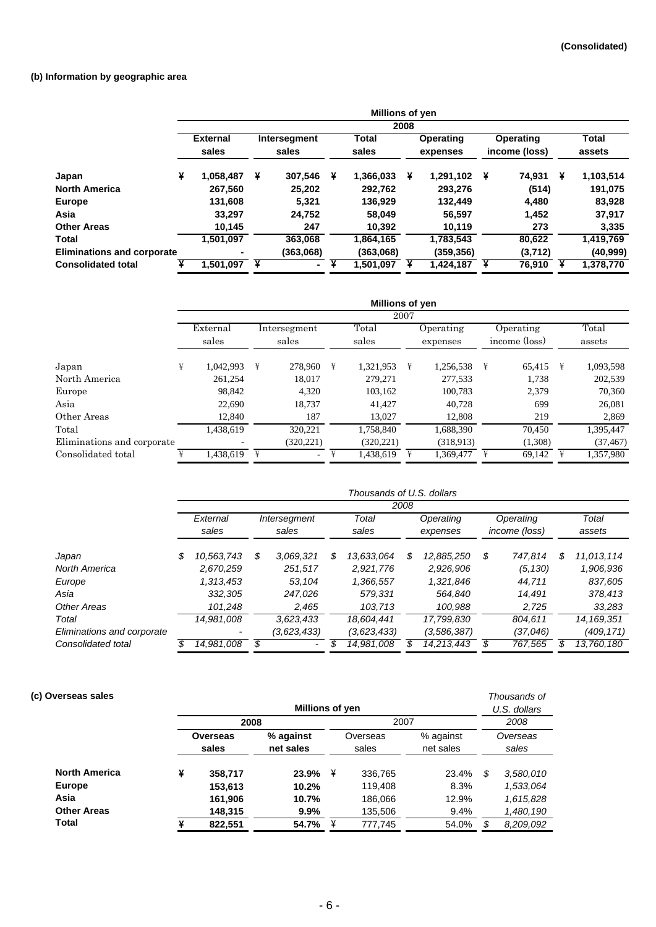## **(b) Information by geographic area**

|                                   |   |                          |   |                       |   | Millions of yen       |      |                       |   |                            |   |                        |
|-----------------------------------|---|--------------------------|---|-----------------------|---|-----------------------|------|-----------------------|---|----------------------------|---|------------------------|
|                                   |   |                          |   |                       |   |                       | 2008 |                       |   |                            |   |                        |
|                                   |   | <b>External</b><br>sales |   | Intersegment<br>sales |   | <b>Total</b><br>sales |      | Operating<br>expenses |   | Operating<br>income (loss) |   | <b>Total</b><br>assets |
| Japan                             | ¥ | 1.058.487                | ¥ | 307,546               | ¥ | 1,366,033             | ¥    | 1,291,102             | ¥ | 74.931                     | ¥ | 1,103,514              |
| <b>North America</b>              |   | 267,560                  |   | 25,202                |   | 292.762               |      | 293,276               |   | (514)                      |   | 191,075                |
| <b>Europe</b>                     |   | 131,608                  |   | 5,321                 |   | 136,929               |      | 132.449               |   | 4,480                      |   | 83,928                 |
| Asia                              |   | 33.297                   |   | 24,752                |   | 58,049                |      | 56,597                |   | 1,452                      |   | 37,917                 |
| <b>Other Areas</b>                |   | 10,145                   |   | 247                   |   | 10.392                |      | 10.119                |   | 273                        |   | 3,335                  |
| Total                             |   | 1,501,097                |   | 363.068               |   | 1,864,165             |      | 1,783,543             |   | 80,622                     |   | 1,419,769              |
| <b>Eliminations and corporate</b> |   | ۰                        |   | (363,068)             |   | (363,068)             |      | (359,356)             |   | (3,712)                    |   | (40, 999)              |
| <b>Consolidated total</b>         |   | 1,501,097                | ¥ | $\blacksquare$        |   | 1,501,097             |      | 1,424,187             |   | 76,910                     |   | 1,378,770              |

|                            |   |                          |   |                       |   | <b>Millions of yen</b> |      |                       |   |                            |              |                 |
|----------------------------|---|--------------------------|---|-----------------------|---|------------------------|------|-----------------------|---|----------------------------|--------------|-----------------|
|                            |   |                          |   |                       |   |                        | 2007 |                       |   |                            |              |                 |
|                            |   | External<br>sales        |   | Intersegment<br>sales |   | Total<br>sales         |      | Operating<br>expenses |   | Operating<br>income (loss) |              | Total<br>assets |
| Japan                      | ¥ | 1.042.993                | ¥ | 278,960               | ¥ | 1,321,953              | ¥    | 1.256.538             | ¥ | 65.415                     | $\mathbb{1}$ | 1,093,598       |
| North America              |   | 261.254                  |   | 18.017                |   | 279,271                |      | 277.533               |   | 1,738                      |              | 202,539         |
| Europe                     |   | 98.842                   |   | 4,320                 |   | 103,162                |      | 100,783               |   | 2,379                      |              | 70,360          |
| Asia                       |   | 22,690                   |   | 18,737                |   | 41,427                 |      | 40,728                |   | 699                        |              | 26,081          |
| Other Areas                |   | 12,840                   |   | 187                   |   | 13,027                 |      | 12,808                |   | 219                        |              | 2,869           |
| Total                      |   | 1.438.619                |   | 320.221               |   | 1.758.840              |      | 1.688.390             |   | 70.450                     |              | 1,395,447       |
| Eliminations and corporate |   | $\overline{\phantom{a}}$ |   | (320, 221)            |   | (320, 221)             |      | (318,913)             |   | (1,308)                    |              | (37, 467)       |
| Consolidated total         |   | 1,438,619                | ¥ | $\sim$                |   | 1,438,619              |      | 1,369,477             |   | 69,142                     |              | 1,357,980       |

|                            |    |                          |    |              |    | Thousands of U.S. dollars |      |             |    |               |    |              |
|----------------------------|----|--------------------------|----|--------------|----|---------------------------|------|-------------|----|---------------|----|--------------|
|                            |    |                          |    |              |    |                           | 2008 |             |    |               |    |              |
|                            |    | External                 |    | Intersegment |    | Total                     |      | Operating   |    | Operating     |    | Total        |
|                            |    | sales                    |    | sales        |    | sales                     |      | expenses    |    | income (loss) |    | assets       |
| Japan                      | \$ | 10.563.743               | S  | 3.069.321    | \$ | 13.633.064                | \$   | 12.885.250  | \$ | 747.814       | S  | 11,013,114   |
| North America              |    | 2.670.259                |    | 251.517      |    | 2.921.776                 |      | 2,926,906   |    | (5, 130)      |    | 1,906,936    |
| Europe                     |    | 1.313.453                |    | 53.104       |    | 1,366,557                 |      | 1,321,846   |    | 44.711        |    | 837,605      |
| Asia                       |    | 332,305                  |    | 247,026      |    | 579,331                   |      | 564,840     |    | 14.491        |    | 378,413      |
| Other Areas                |    | 101.248                  |    | 2.465        |    | 103,713                   |      | 100.988     |    | 2,725         |    | 33,283       |
| Total                      |    | 14.981.008               |    | 3,623,433    |    | 18.604.441                |      | 17.799.830  |    | 804.611       |    | 14, 169, 351 |
| Eliminations and corporate |    | $\overline{\phantom{0}}$ |    | (3,623,433)  |    | (3,623,433)               |      | (3,586,387) |    | (37,046)      |    | (409,171)    |
| Consolidated total         | S  | 14,981,008               | \$ |              | S  | 14.981.008                | S    | 14.213.443  | S  | 767.565       | \$ | 13.760.180   |

| (c) Overseas sales   |          |         | Millions of yen |          |         |           | Thousands of<br>U.S. dollars |           |  |
|----------------------|----------|---------|-----------------|----------|---------|-----------|------------------------------|-----------|--|
|                      |          | 2008    |                 |          | 2007    |           |                              | 2008      |  |
|                      | Overseas |         | % against       | Overseas |         | % against | Overseas                     |           |  |
|                      |          | sales   | net sales       | sales    |         | net sales | sales                        |           |  |
| <b>North America</b> | ¥        | 358,717 | 23.9%           | ¥        | 336,765 | 23.4%     | \$                           | 3,580,010 |  |
| <b>Europe</b>        |          | 153,613 | 10.2%           |          | 119,408 | 8.3%      |                              | 1,533,064 |  |
| Asia                 |          | 161,906 | 10.7%           |          | 186,066 | 12.9%     |                              | 1,615,828 |  |
| <b>Other Areas</b>   |          | 148,315 | $9.9\%$         |          | 135,506 | 9.4%      |                              | 1,480,190 |  |
| Total                |          | 822,551 | 54.7%           | ¥        | 777,745 | 54.0%     |                              | 8,209,092 |  |